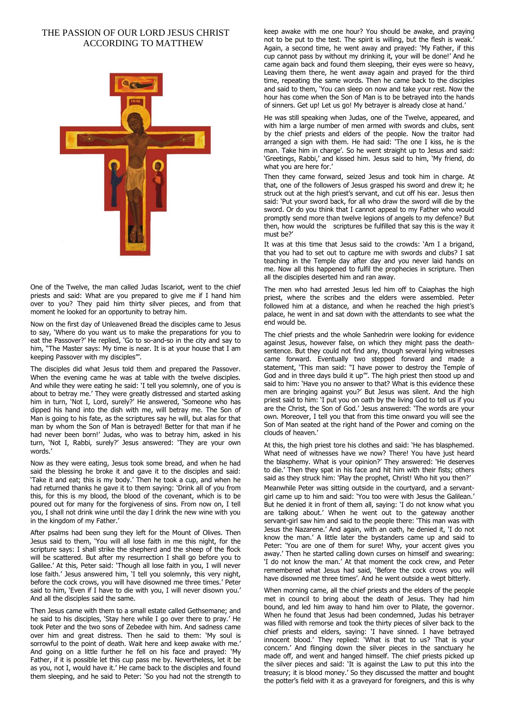## THE PASSION OF OUR LORD JESUS CHRIST ACCORDING TO MATTHEW



One of the Twelve, the man called Judas Iscariot, went to the chief priests and said: What are you prepared to give me if I hand him over to you? They paid him thirty silver pieces, and from that moment he looked for an opportunity to betray him.

Now on the first day of Unleavened Bread the disciples came to Jesus to say, 'Where do you want us to make the preparations for you to eat the Passover?' He replied, 'Go to so-and-so in the city and say to him, "The Master says: My time is near. It is at your house that I am keeping Passover with my disciples"'.

The disciples did what Jesus told them and prepared the Passover. When the evening came he was at table with the twelve disciples. And while they were eating he said: 'I tell you solemnly, one of you is about to betray me.' They were greatly distressed and started asking him in turn, 'Not I, Lord, surely?' He answered, 'Someone who has dipped his hand into the dish with me, will betray me. The Son of Man is going to his fate, as the scriptures say he will, but alas for that man by whom the Son of Man is betrayed! Better for that man if he had never been born!' Judas, who was to betray him, asked in his turn, 'Not I, Rabbi, surely?' Jesus answered: 'They are your own words.

Now as they were eating, Jesus took some bread, and when he had said the blessing he broke it and gave it to the disciples and said: 'Take it and eat; this is my body.' Then he took a cup, and when he had returned thanks he gave it to them saying: 'Drink all of you from this, for this is my blood, the blood of the covenant, which is to be poured out for many for the forgiveness of sins. From now on, I tell you, I shall not drink wine until the day I drink the new wine with you in the kingdom of my Father.'

After psalms had been sung they left for the Mount of Olives. Then Jesus said to them, 'You will all lose faith in me this night, for the scripture says: I shall strike the shepherd and the sheep of the flock will be scattered. But after my resurrection I shall go before you to Galilee.' At this, Peter said: 'Though all lose faith in you, I will never lose faith.' Jesus answered him, 'I tell you solemnly, this very night, before the cock crows, you will have disowned me three times.' Peter said to him, 'Even if I have to die with you, I will never disown you.' And all the disciples said the same.

Then Jesus came with them to a small estate called Gethsemane; and he said to his disciples, 'Stay here while I go over there to pray.' He took Peter and the two sons of Zebedee with him. And sadness came over him and great distress. Then he said to them: 'My soul is sorrowful to the point of death. Wait here and keep awake with me.' And going on a little further he fell on his face and prayed: 'My Father, if it is possible let this cup pass me by. Nevertheless, let it be as you, not I, would have it.' He came back to the disciples and found them sleeping, and he said to Peter: 'So you had not the strength to keep awake with me one hour? You should be awake, and praying not to be put to the test. The spirit is willing, but the flesh is weak.' Again, a second time, he went away and prayed: 'My Father, if this cup cannot pass by without my drinking it, your will be done!' And he came again back and found them sleeping, their eyes were so heavy, Leaving them there, he went away again and prayed for the third time, repeating the same words. Then he came back to the disciples and said to them, 'You can sleep on now and take your rest. Now the hour has come when the Son of Man is to be betrayed into the hands of sinners. Get up! Let us go! My betrayer is already close at hand.'

He was still speaking when Judas, one of the Twelve, appeared, and with him a large number of men armed with swords and clubs, sent by the chief priests and elders of the people. Now the traitor had arranged a sign with them. He had said: 'The one I kiss, he is the man. Take him in charge'. So he went straight up to Jesus and said: 'Greetings, Rabbi,' and kissed him. Jesus said to him, 'My friend, do what you are here for.'

Then they came forward, seized Jesus and took him in charge. At that, one of the followers of Jesus grasped his sword and drew it; he struck out at the high priest's servant, and cut off his ear. Jesus then said: 'Put your sword back, for all who draw the sword will die by the sword. Or do you think that I cannot appeal to my Father who would promptly send more than twelve legions of angels to my defence? But then, how would the scriptures be fulfilled that say this is the way it must be?'

It was at this time that Jesus said to the crowds: 'Am I a brigand, that you had to set out to capture me with swords and clubs? I sat teaching in the Temple day after day and you never laid hands on me. Now all this happened to fulfil the prophecies in scripture. Then all the disciples deserted him and ran away.

The men who had arrested Jesus led him off to Caiaphas the high priest, where the scribes and the elders were assembled. Peter followed him at a distance, and when he reached the high priest's palace, he went in and sat down with the attendants to see what the end would be.

The chief priests and the whole Sanhedrin were looking for evidence against Jesus, however false, on which they might pass the deathsentence. But they could not find any, though several lying witnesses came forward. Eventually two stepped forward and made a statement, 'This man said: "I have power to destroy the Temple of God and in three days build it up"'. The high priest then stood up and said to him: 'Have you no answer to that? What is this evidence these men are bringing against you?' But Jesus was silent. And the high priest said to him: 'I put you on oath by the living God to tell us if you are the Christ, the Son of God.' Jesus answered: 'The words are your own. Moreover, I tell you that from this time onward you will see the Son of Man seated at the right hand of the Power and coming on the clouds of heaven.'

At this, the high priest tore his clothes and said: 'He has blasphemed. What need of witnesses have we now? There! You have just heard the blasphemy. What is your opinion?' They answered: 'He deserves to die.' Then they spat in his face and hit him with their fists; others said as they struck him: 'Play the prophet, Christ! Who hit you then?'

Meanwhile Peter was sitting outside in the courtyard, and a servantgirl came up to him and said: 'You too were with Jesus the Galilean.' But he denied it in front of them all, saying: 'I do not know what you are talking about.' When he went out to the gateway another servant-girl saw him and said to the people there: 'This man was with Jesus the Nazarene.' And again, with an oath, he denied it, 'I do not know the man.' A little later the bystanders came up and said to Peter: 'You are one of them for sure! Why, your accent gives you away.' Then he started calling down curses on himself and swearing: 'I do not know the man.' At that moment the cock crew, and Peter remembered what Jesus had said, 'Before the cock crows you will have disowned me three times'. And he went outside a wept bitterly.

When morning came, all the chief priests and the elders of the people met in council to bring about the death of Jesus. They had him bound, and led him away to hand him over to Pilate, the governor. When he found that Jesus had been condemned, Judas his betrayer was filled with remorse and took the thirty pieces of silver back to the chief priests and elders, saying: 'I have sinned. I have betrayed innocent blood.' They replied: 'What is that to us? That is your concern.' And flinging down the silver pieces in the sanctuary he made off, and went and hanged himself. The chief priests picked up the silver pieces and said: 'It is against the Law to put this into the treasury; it is blood money.' So they discussed the matter and bought the potter's field with it as a graveyard for foreigners, and this is why